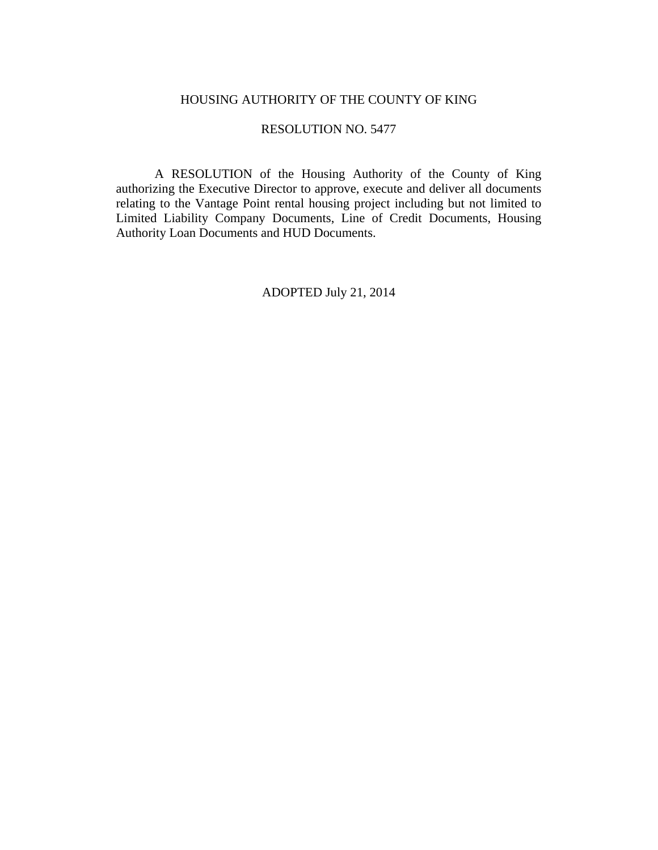### HOUSING AUTHORITY OF THE COUNTY OF KING

### RESOLUTION NO. 5477

 A RESOLUTION of the Housing Authority of the County of King authorizing the Executive Director to approve, execute and deliver all documents relating to the Vantage Point rental housing project including but not limited to Limited Liability Company Documents, Line of Credit Documents, Housing Authority Loan Documents and HUD Documents.

ADOPTED July 21, 2014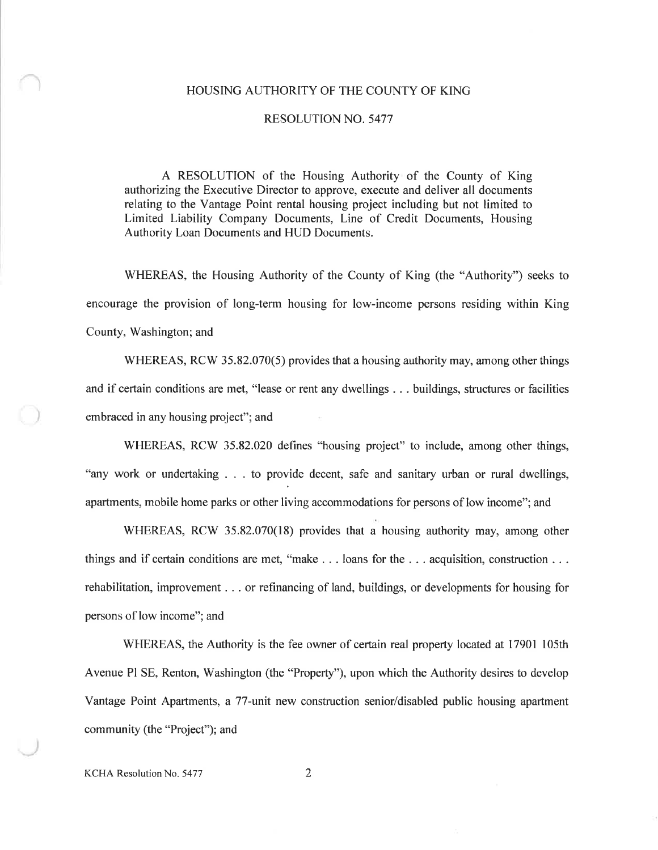### HOUSING AUTHORITY OF THE COUNTY OF KING

#### **RESOLUTION NO. 5477**

A RESOLUTION of the Housing Authority of the County of King authorizing the Executive Director to approve, execute and deliver all documents relating to the Vantage Point rental housing project including but not limited to Limited Liability Company Documents, Line of Credit Documents, Housing Authority Loan Documents and HUD Documents.

WHEREAS, the Housing Authority of the County of King (the "Authority") seeks to encourage the provision of long-term housing for low-income persons residing within King County, Washington; and

WHEREAS, RCW 35.82.070(5) provides that a housing authority may, among other things and if certain conditions are met, "lease or rent any dwellings . . . buildings, structures or facilities embraced in any housing project"; and

WHEREAS, RCW 35.82.020 defines "housing project" to include, among other things, "any work or undertaking . . . to provide decent, safe and sanitary urban or rural dwellings, apartments, mobile home parks or other living accommodations for persons of low income"; and

WHEREAS, RCW 35.82.070(18) provides that a housing authority may, among other things and if certain conditions are met, "make  $\dots$  loans for the  $\dots$  acquisition, construction  $\dots$ rehabilitation, improvement . . . or refinancing of land, buildings, or developments for housing for persons of low income"; and

WHEREAS, the Authority is the fee owner of certain real property located at 17901 105th Avenue PI SE, Renton, Washington (the "Property"), upon which the Authority desires to develop Vantage Point Apartments, a 77-unit new construction senior/disabled public housing apartment community (the "Project"); and

KCHA Resolution No. 5477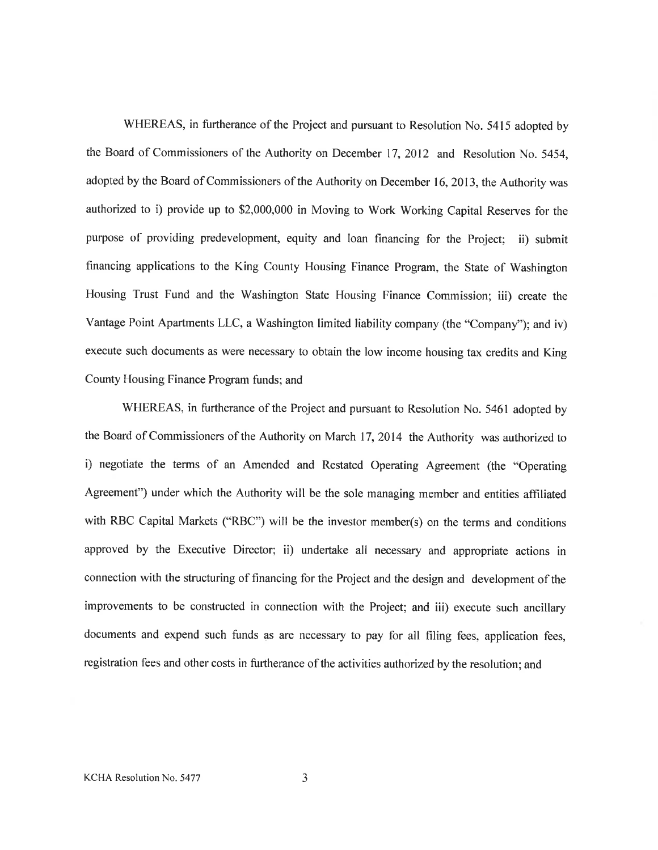WHEREAS, in furtherance of the Project and pursuant to Resolution No. 5415 adopted by the Board of Commissioners of the Authority on December 17, 2012 and Resolution No. 5454, adopted by the Board of Commissioners of the Authority on December 16, 2013, the Authority was authorized to i) provide up to \$2,000,000 in Moving to Work Working Capital Reserves for the purpose of providing predevelopment, equity and loan financing for the Project; ii) submit financing applications to the King County Housing Finance Program, the State of Washington Housing Trust Fund and the Washington State Housing Finance Commission; iii) create the Vantage Point Apartments LLC, a Washington limited liability company (the "Company"); and iv) execute such documents as were necessary to obtain the low income housing tax credits and King County Housing Finance Program funds; and

WHEREAS, in furtherance of the Project and pursuant to Resolution No. 5461 adopted by the Board of Commissioners of the Authority on March 17, 2014 the Authority was authorized to i) negotiate the terms of an Amended and Restated Operating Agreement (the "Operating Agreement") under which the Authority will be the sole managing member and entities affiliated with RBC Capital Markets ("RBC") will be the investor member(s) on the terms and conditions approved by the Executive Director; ii) undertake all necessary and appropriate actions in connection with the structuring of financing for the Project and the design and development of the improvements to be constructed in connection with the Project; and iii) execute such ancillary documents and expend such funds as are necessary to pay for all filing fees, application fees. registration fees and other costs in furtherance of the activities authorized by the resolution; and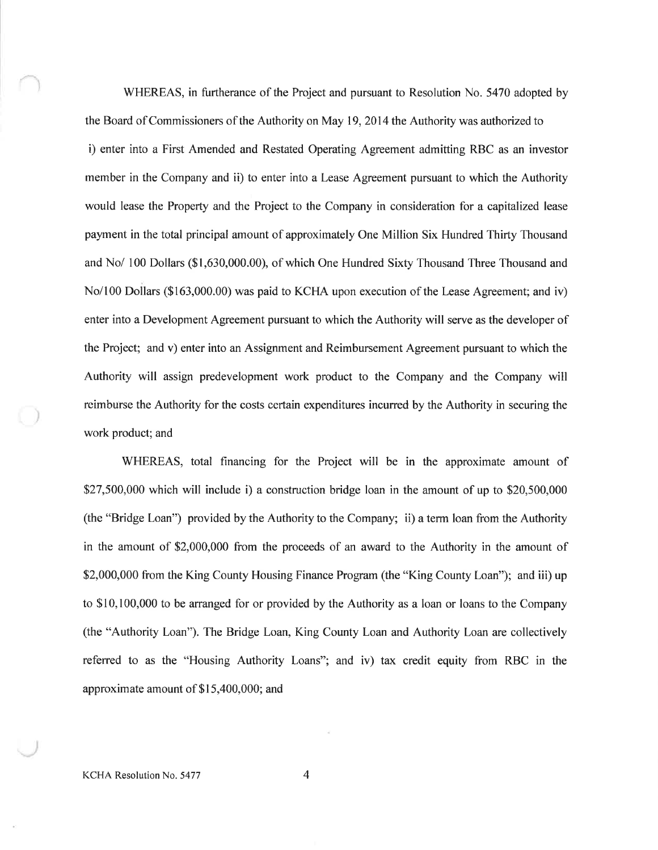WHEREAS, in furtherance of the Project and pursuant to Resolution No. 5470 adopted by the Board of Commissioners of the Authority on May 19, 2014 the Authority was authorized to i) enter into a First Amended and Restated Operating Agreement admitting RBC as an investor member in the Company and ii) to enter into a Lease Agreement pursuant to which the Authority would lease the Property and the Project to the Company in consideration for a capitalized lease payment in the total principal amount of approximately One Million Six Hundred Thirty Thousand and No/ 100 Dollars (\$1,630,000.00), of which One Hundred Sixty Thousand Three Thousand and No/100 Dollars (\$163,000.00) was paid to KCHA upon execution of the Lease Agreement; and iv) enter into a Development Agreement pursuant to which the Authority will serve as the developer of the Project; and v) enter into an Assignment and Reimbursement Agreement pursuant to which the Authority will assign predevelopment work product to the Company and the Company will reimburse the Authority for the costs certain expenditures incurred by the Authority in securing the work product; and

WHEREAS, total financing for the Project will be in the approximate amount of \$27,500,000 which will include i) a construction bridge loan in the amount of up to  $$20,500,000$ (the "Bridge Loan") provided by the Authority to the Company; ii) a term loan from the Authority in the amount of \$2,000,000 from the proceeds of an award to the Authority in the amount of \$2,000,000 from the King County Housing Finance Program (the "King County Loan"); and iii) up to \$10,100,000 to be arranged for or provided by the Authority as a loan or loans to the Company (the "Authority Loan"). The Bridge Loan, King County Loan and Authority Loan are collectively referred to as the "Housing Authority Loans"; and iv) tax credit equity from RBC in the approximate amount of \$15,400,000; and

KCHA Resolution No. 5477

 $\overline{4}$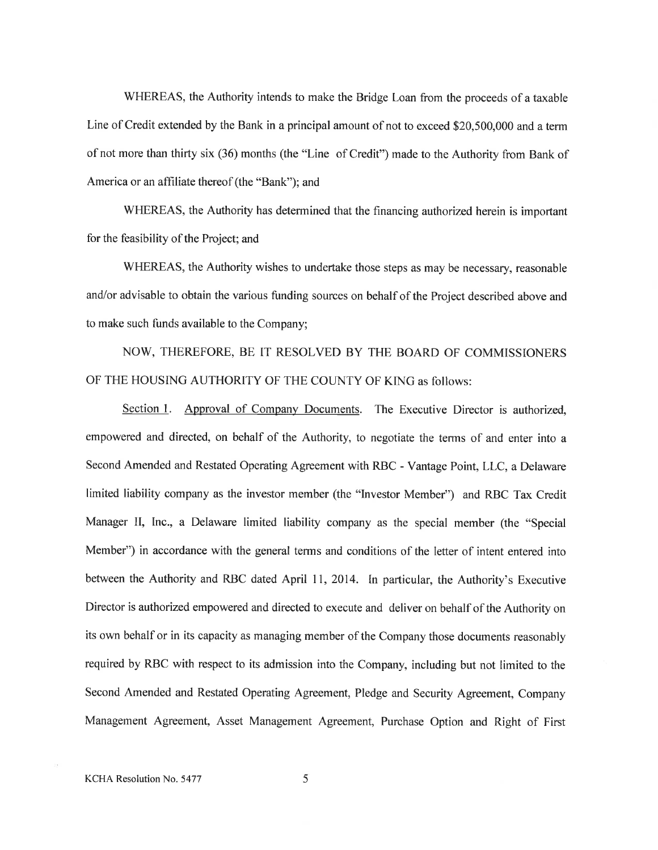WHEREAS, the Authority intends to make the Bridge Loan from the proceeds of a taxable Line of Credit extended by the Bank in a principal amount of not to exceed \$20,500,000 and a term of not more than thirty six (36) months (the "Line of Credit") made to the Authority from Bank of America or an affiliate thereof (the "Bank"); and

WHEREAS, the Authority has determined that the financing authorized herein is important for the feasibility of the Project; and

WHEREAS, the Authority wishes to undertake those steps as may be necessary, reasonable and/or advisable to obtain the various funding sources on behalf of the Project described above and to make such funds available to the Company;

NOW, THEREFORE, BE IT RESOLVED BY THE BOARD OF COMMISSIONERS OF THE HOUSING AUTHORITY OF THE COUNTY OF KING as follows:

Section 1. Approval of Company Documents. The Executive Director is authorized. empowered and directed, on behalf of the Authority, to negotiate the terms of and enter into a Second Amended and Restated Operating Agreement with RBC - Vantage Point, LLC, a Delaware limited liability company as the investor member (the "Investor Member") and RBC Tax Credit Manager II, Inc., a Delaware limited liability company as the special member (the "Special Member") in accordance with the general terms and conditions of the letter of intent entered into between the Authority and RBC dated April 11, 2014. In particular, the Authority's Executive Director is authorized empowered and directed to execute and deliver on behalf of the Authority on its own behalf or in its capacity as managing member of the Company those documents reasonably required by RBC with respect to its admission into the Company, including but not limited to the Second Amended and Restated Operating Agreement, Pledge and Security Agreement, Company Management Agreement, Asset Management Agreement, Purchase Option and Right of First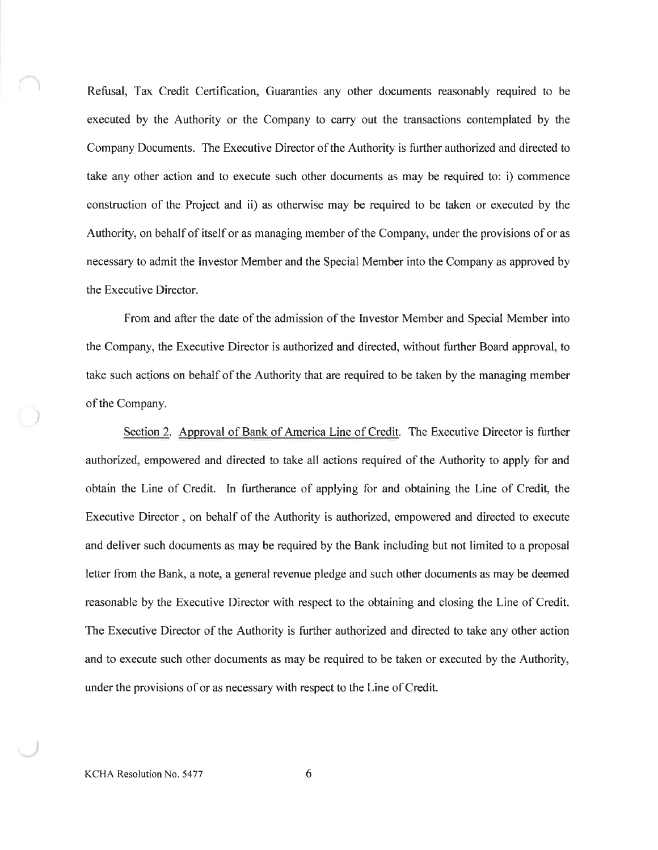Refusal, Tax Credit Certification, Guaranties any other documents reasonably required to be executed by the Authority or the Company to carry out the transactions contemplated by the Company Documents. The Executive Director of the Authority is further authorized and directed to take any other action and to execute such other documents as may be required to: i) commence construction of the Project and ii) as otherwise may be required to be taken or executed by the Authority, on behalf of itself or as managing member of the Company, under the provisions of or as necessary to admit the Investor Member and the Special Member into the Company as approved by the Executive Director.

From and after the date of the admission of the Investor Member and Special Member into the Company, the Executive Director is authorized and directed, without further Board approval, to take such actions on behalf of the Authority that are required to be taken by the managing member of the Company.

Section 2. Approval of Bank of America Line of Credit. The Executive Director is further authorized, empowered and directed to take all actions required of the Authority to apply for and obtain the Line of Credit. In furtherance of applying for and obtaining the Line of Credit, the Executive Director, on behalf of the Authority is authorized, empowered and directed to execute and deliver such documents as may be required by the Bank including but not limited to a proposal letter from the Bank, a note, a general revenue pledge and such other documents as may be deemed reasonable by the Executive Director with respect to the obtaining and closing the Line of Credit. The Executive Director of the Authority is further authorized and directed to take any other action and to execute such other documents as may be required to be taken or executed by the Authority, under the provisions of or as necessary with respect to the Line of Credit.

KCHA Resolution No. 5477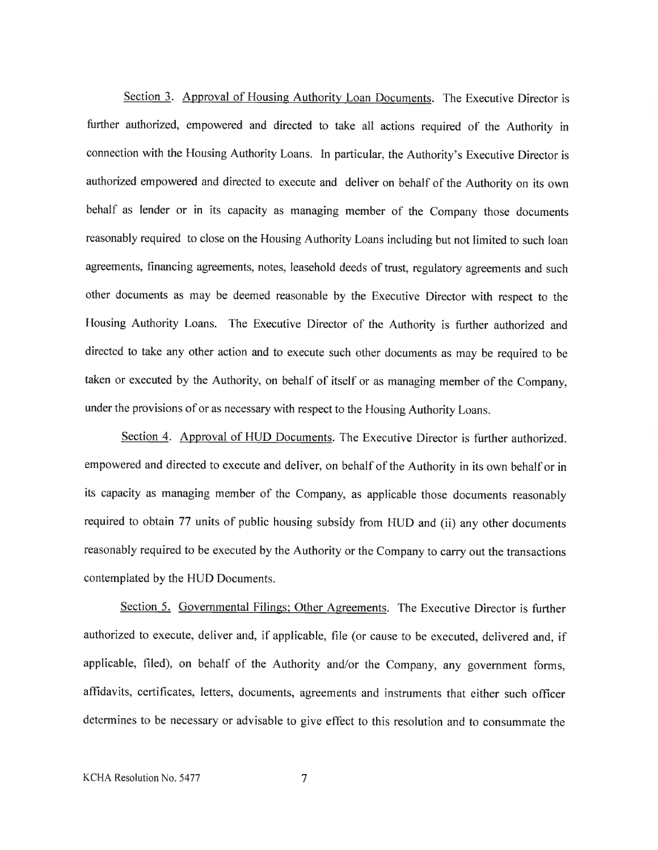Section 3. Approval of Housing Authority Loan Documents. The Executive Director is further authorized, empowered and directed to take all actions required of the Authority in connection with the Housing Authority Loans. In particular, the Authority's Executive Director is authorized empowered and directed to execute and deliver on behalf of the Authority on its own behalf as lender or in its capacity as managing member of the Company those documents reasonably required to close on the Housing Authority Loans including but not limited to such loan agreements, financing agreements, notes, leasehold deeds of trust, regulatory agreements and such other documents as may be deemed reasonable by the Executive Director with respect to the Housing Authority Loans. The Executive Director of the Authority is further authorized and directed to take any other action and to execute such other documents as may be required to be taken or executed by the Authority, on behalf of itself or as managing member of the Company, under the provisions of or as necessary with respect to the Housing Authority Loans.

Section 4. Approval of HUD Documents. The Executive Director is further authorized. empowered and directed to execute and deliver, on behalf of the Authority in its own behalf or in its capacity as managing member of the Company, as applicable those documents reasonably required to obtain 77 units of public housing subsidy from HUD and (ii) any other documents reasonably required to be executed by the Authority or the Company to carry out the transactions contemplated by the HUD Documents.

Section 5. Governmental Filings; Other Agreements. The Executive Director is further authorized to execute, deliver and, if applicable, file (or cause to be executed, delivered and, if applicable, filed), on behalf of the Authority and/or the Company, any government forms, affidavits, certificates, letters, documents, agreements and instruments that either such officer determines to be necessary or advisable to give effect to this resolution and to consummate the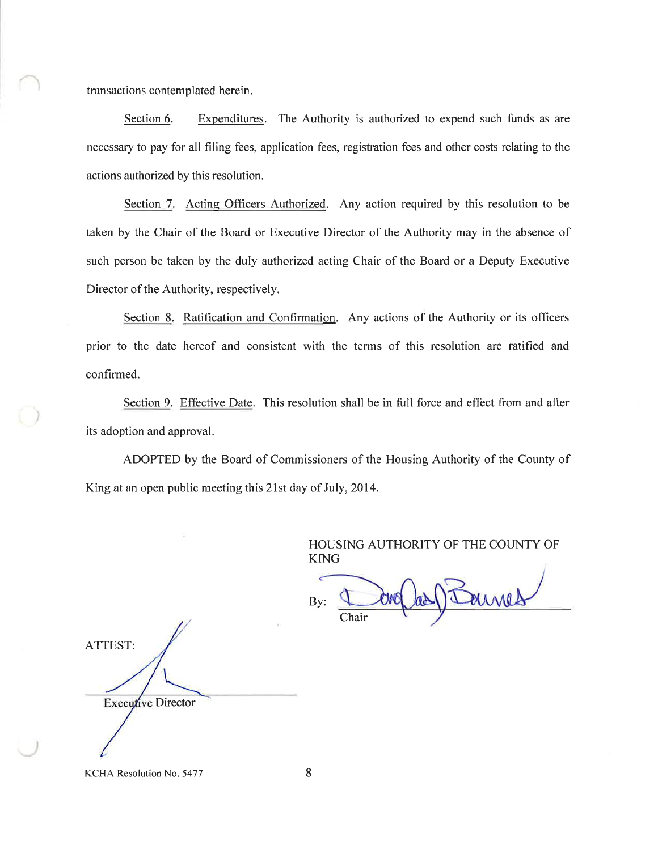transactions contemplated herein.

Section 6. Expenditures. The Authority is authorized to expend such funds as are necessary to pay for all filing fees, application fees, registration fees and other costs relating to the actions authorized by this resolution.

Section 7. Acting Officers Authorized. Any action required by this resolution to be taken by the Chair of the Board or Executive Director of the Authority may in the absence of such person be taken by the duly authorized acting Chair of the Board or a Deputy Executive Director of the Authority, respectively.

Section 8. Ratification and Confirmation. Any actions of the Authority or its officers prior to the date hereof and consistent with the terms of this resolution are ratified and confirmed.

Section 9. Effective Date. This resolution shall be in full force and effect from and after its adoption and approval.

ADOPTED by the Board of Commissioners of the Housing Authority of the County of King at an open public meeting this 21st day of July, 2014.

> HOUSING AUTHORITY OF THE COUNTY OF **KING**

aines By: Chair

**ATTEST:** Executive Director

KCHA Resolution No. 5477

8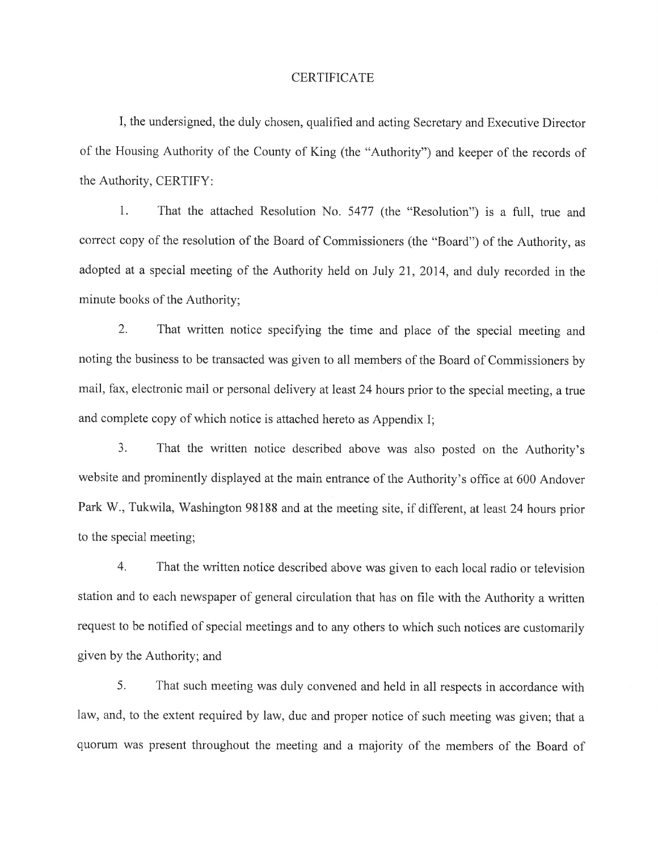### **CERTIFICATE**

I, the undersigned, the duly chosen, qualified and acting Secretary and Executive Director of the Housing Authority of the County of King (the "Authority") and keeper of the records of the Authority, CERTIFY:

 $1<sub>1</sub>$ That the attached Resolution No. 5477 (the "Resolution") is a full, true and correct copy of the resolution of the Board of Commissioners (the "Board") of the Authority, as adopted at a special meeting of the Authority held on July 21, 2014, and duly recorded in the minute books of the Authority;

 $2.$ That written notice specifying the time and place of the special meeting and noting the business to be transacted was given to all members of the Board of Commissioners by mail, fax, electronic mail or personal delivery at least 24 hours prior to the special meeting, a true and complete copy of which notice is attached hereto as Appendix I;

 $3.$ That the written notice described above was also posted on the Authority's website and prominently displayed at the main entrance of the Authority's office at 600 Andover Park W., Tukwila, Washington 98188 and at the meeting site, if different, at least 24 hours prior to the special meeting;

 $4.$ That the written notice described above was given to each local radio or television station and to each newspaper of general circulation that has on file with the Authority a written request to be notified of special meetings and to any others to which such notices are customarily given by the Authority; and

5. That such meeting was duly convened and held in all respects in accordance with law, and, to the extent required by law, due and proper notice of such meeting was given; that a quorum was present throughout the meeting and a majority of the members of the Board of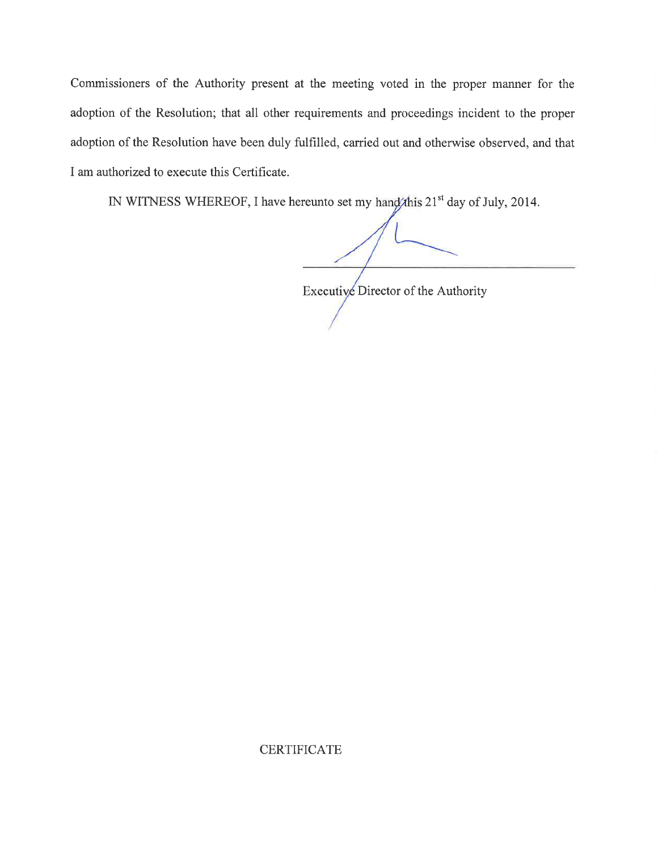Commissioners of the Authority present at the meeting voted in the proper manner for the adoption of the Resolution; that all other requirements and proceedings incident to the proper adoption of the Resolution have been duly fulfilled, carried out and otherwise observed, and that I am authorized to execute this Certificate.

IN WITNESS WHEREOF, I have hereunto set my hand this 21<sup>st</sup> day of July, 2014.

Executive Director of the Authority

**CERTIFICATE**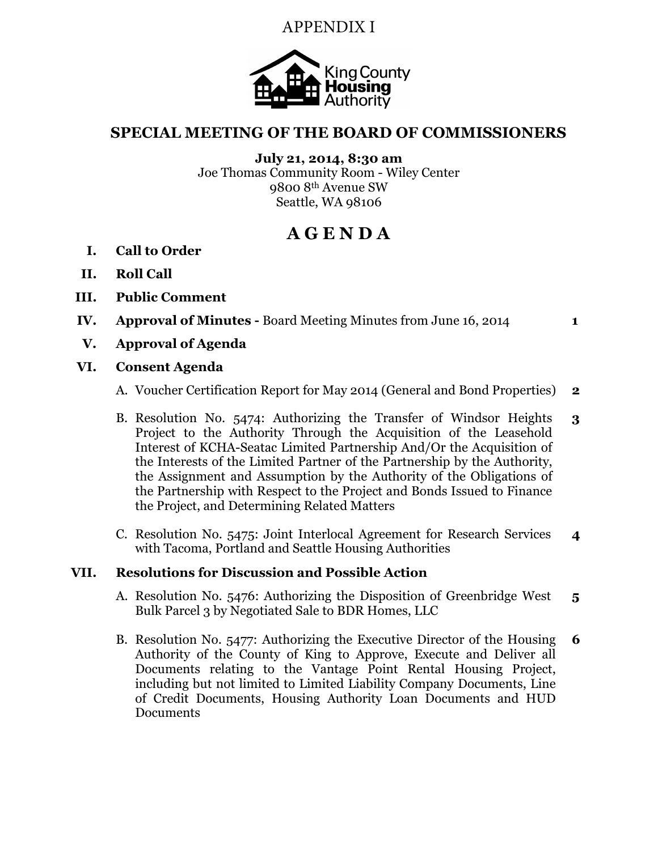# APPENDIX I



# SPECIAL MEETING OF THE BOARD OF COMMISSIONERS

July 21, 2014, 8:30 am Joe Thomas Community Room - Wiley Center 9800 8th Avenue SW Seattle, WA 98106

# A G E N D A

- I. Call to Order
- II. Roll Call
- III. Public Comment
- IV. Approval of Minutes Board Meeting Minutes from June 16, 2014 1

V. Approval of Agenda

## VI. Consent Agenda

- A. Voucher Certification Report for May 2014 (General and Bond Properties) 2
- B. Resolution No. 5474: Authorizing the Transfer of Windsor Heights Project to the Authority Through the Acquisition of the Leasehold Interest of KCHA-Seatac Limited Partnership And/Or the Acquisition of the Interests of the Limited Partner of the Partnership by the Authority, the Assignment and Assumption by the Authority of the Obligations of the Partnership with Respect to the Project and Bonds Issued to Finance the Project, and Determining Related Matters 3
- C. Resolution No. 5475: Joint Interlocal Agreement for Research Services with Tacoma, Portland and Seattle Housing Authorities 4

## VII. Resolutions for Discussion and Possible Action

- A. Resolution No. 5476: Authorizing the Disposition of Greenbridge West Bulk Parcel 3 by Negotiated Sale to BDR Homes, LLC 5
- B. Resolution No. 5477: Authorizing the Executive Director of the Housing Authority of the County of King to Approve, Execute and Deliver all Documents relating to the Vantage Point Rental Housing Project, including but not limited to Limited Liability Company Documents, Line of Credit Documents, Housing Authority Loan Documents and HUD Documents 6